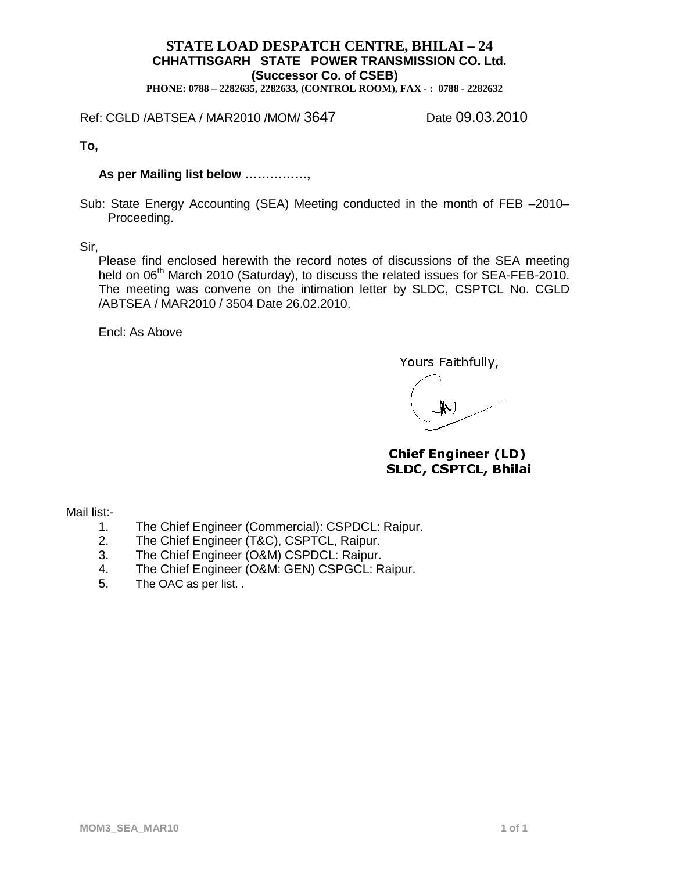# **STATE LOAD DESPATCH CENTRE, BHILAI – 24 CHHATTISGARH STATE POWER TRANSMISSION CO. Ltd. (Successor Co. of CSEB)**

**PHONE: 0788 – 2282635, 2282633, (CONTROL ROOM), FAX - : 0788 - 2282632**

Ref: CGLD /ABTSEA / MAR2010 /MOM/ 3647 Date 09.03.2010

**To,**

#### **As per Mailing list below ……………,**

Sub: State Energy Accounting (SEA) Meeting conducted in the month of FEB –2010– Proceeding.

Sir,

Please find enclosed herewith the record notes of discussions of the SEA meeting held on 06<sup>th</sup> March 2010 (Saturday), to discuss the related issues for SEA-FEB-2010. The meeting was convene on the intimation letter by SLDC, CSPTCL No. CGLD /ABTSEA / MAR2010 / 3504 Date 26.02.2010.

Encl: As Above

Yours Faithfully,

Chief Engineer (LD) SLDC, CSPTCL, Bhilai

Mail list:-

- 1. The Chief Engineer (Commercial): CSPDCL: Raipur.
- 2. The Chief Engineer (T&C), CSPTCL, Raipur.
- 3. The Chief Engineer (O&M) CSPDCL: Raipur.
- 4. The Chief Engineer (O&M: GEN) CSPGCL: Raipur.
- 5. The OAC as per list. .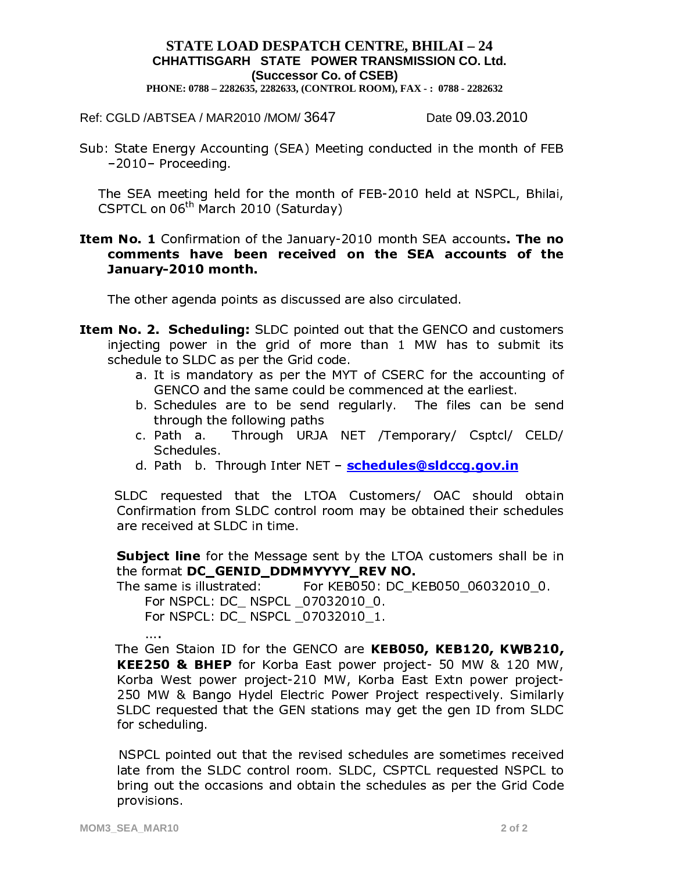### **STATE LOAD DESPATCH CENTRE, BHILAI – 24 CHHATTISGARH STATE POWER TRANSMISSION CO. Ltd. (Successor Co. of CSEB) PHONE: 0788 – 2282635, 2282633, (CONTROL ROOM), FAX - : 0788 - 2282632**

Ref: CGLD /ABTSEA / MAR2010 /MOM/ 3647 Date 09.03.2010

Sub: State Energy Accounting (SEA) Meeting conducted in the month of FEB -2010- Proceeding.

The SEA meeting held for the month of FEB-2010 held at NSPCL, Bhilai,  $CSPTCL$  on  $06<sup>tn</sup>$  March 2010 (Saturday)

### Item No. 1 Confirmation of the January-2010 month SEA accounts. The no comments have been received on the SEA accounts of the January-2010 month.

The other agenda points as discussed are also circulated.

- **Item No. 2. Scheduling:** SLDC pointed out that the GENCO and customers injecting power in the grid of more than 1 MW has to submit its schedule to SLDC as per the Grid code.
	- a. It is mandatory as per the MYT of CSERC for the accounting of GENCO and the same could be commenced at the earliest.
	- b. Schedules are to be send regularly. The files can be send through the following paths<br>c. Path a. Through URJA
	- Through URJA NET /Temporary/ Csptcl/ CELD/ Schedules.
	- d. Path b. Through Inter NET schedules@sldccq.qov.in

SLDC requested that the LTOA Customers/ OAC should obtain Confirmation from SLDC control room may be obtained their schedules are received at SLDC in time.

**Subject line** for the Message sent by the LTOA customers shall be in the format DC GENID DDMMYYYY REV NO.

The same is illustrated: For KEB050: DC KEB050 06032010 0.

For NSPCL: DC NSPCL 07032010 0.

For NSPCL: DC\_ NSPCL \_07032010\_1.

«

The Gen Staion ID for the GENCO are KEB050, KEB120, KWB210, **KEE250 & BHEP** for Korba East power project- 50 MW & 120 MW, Korba West power project-210 MW, Korba East Extn power project-250 MW & Bango Hydel Electric Power Project respectively. Similarly SLDC requested that the GEN stations may get the gen ID from SLDC for scheduling.

NSPCL pointed out that the revised schedules are sometimes received late from the SLDC control room. SLDC, CSPTCL requested NSPCL to bring out the occasions and obtain the schedules as per the Grid Code provisions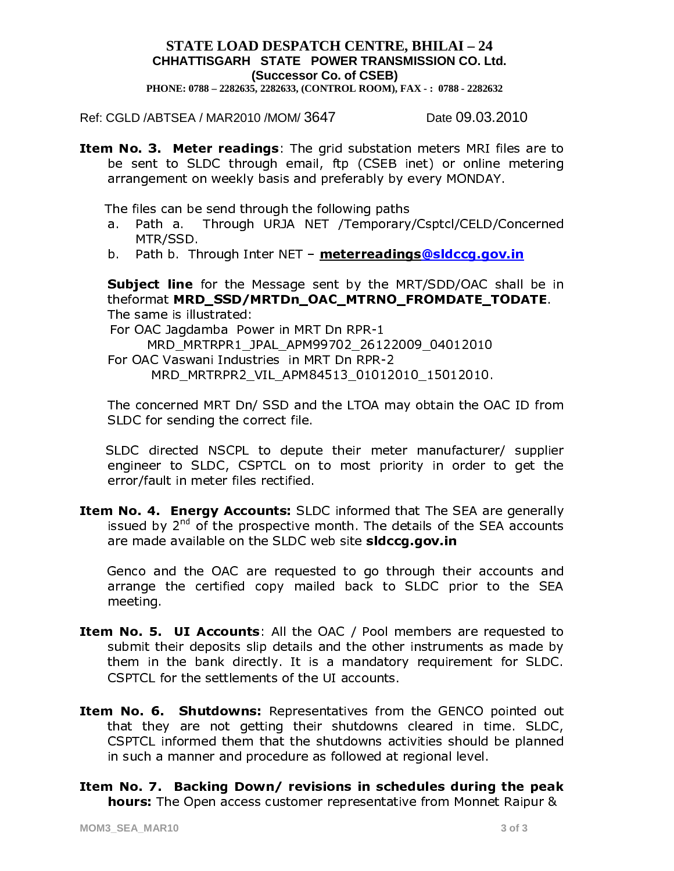# **STATE LOAD DESPATCH CENTRE, BHILAI – 24** CHHATTISGARH STATE POWER TRANSMISSION CO. Ltd. (Successor Co. of CSEB)

PHONE: 0788 - 2282635, 2282633, (CONTROL ROOM), FAX -: 0788 - 2282632

Ref: CGLD /ABTSEA / MAR2010 /MOM/ 3647

Date 09.03.2010

Item No. 3. Meter readings: The grid substation meters MRI files are to be sent to SLDC through email, ftp (CSEB inet) or online metering arrangement on weekly basis and preferably by every MONDAY.

The files can be send through the following paths

- Through URJA NET /Temporary/Csptcl/CELD/Concerned a. Path a MTR/SSD.
- b. Path b. Through Inter NET meterreadings@sldccg.gov.in

**Subject line** for the Message sent by the MRT/SDD/OAC shall be in theformat MRD SSD/MRTDn OAC MTRNO FROMDATE TODATE. The same is illustrated:

For OAC Jagdamba Power in MRT Dn RPR-1 MRD MRTRPR1 JPAL APM99702 26122009 04012010 For OAC Vaswani Industries in MRT Dn RPR-2 MRD MRTRPR2 VIL APM84513 01012010 15012010.

The concerned MRT Dn/ SSD and the LTOA may obtain the OAC ID from SLDC for sending the correct file.

SLDC directed NSCPL to depute their meter manufacturer/ supplier engineer to SLDC, CSPTCL on to most priority in order to get the error/fault in meter files rectified.

Item No. 4. Energy Accounts: SLDC informed that The SEA are generally issued by 2<sup>nd</sup> of the prospective month. The details of the SEA accounts are made available on the SLDC web site sidccg.gov.in

Genco and the OAC are requested to go through their accounts and arrange the certified copy mailed back to SLDC prior to the SEA meeting.

- Item No. 5. UI Accounts: All the OAC / Pool members are requested to submit their deposits slip details and the other instruments as made by them in the bank directly. It is a mandatory requirement for SLDC. CSPTCL for the settlements of the UI accounts.
- Item No. 6. Shutdowns: Representatives from the GENCO pointed out that they are not getting their shutdowns cleared in time. SLDC, CSPTCL informed them that the shutdowns activities should be planned in such a manner and procedure as followed at regional level.
- Item No. 7. Backing Down/ revisions in schedules during the peak **hours:** The Open access customer representative from Monnet Raipur &